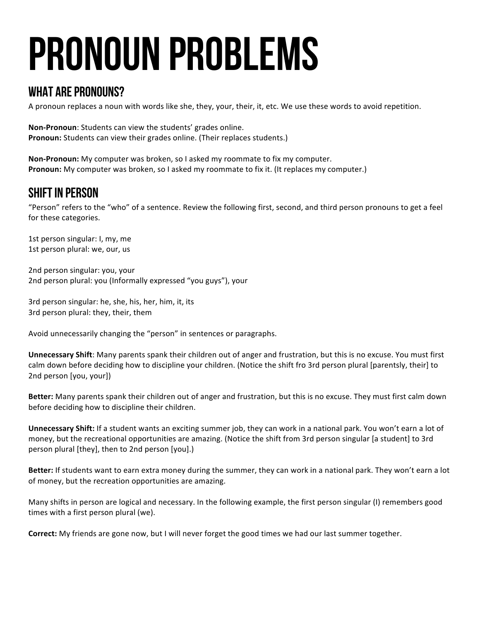# Pronoun Problems

### WHAT ARE PRONOUNS?

A pronoun replaces a noun with words like she, they, your, their, it, etc. We use these words to avoid repetition.

**Non-Pronoun:** Students can view the students' grades online. **Pronoun:** Students can view their grades online. (Their replaces students.)

**Non-Pronoun:** My computer was broken, so I asked my roommate to fix my computer. **Pronoun:** My computer was broken, so I asked my roommate to fix it. (It replaces my computer.)

# Shift In Person

"Person" refers to the "who" of a sentence. Review the following first, second, and third person pronouns to get a feel for these categories.

1st person singular: I, my, me 1st person plural: we, our, us

2nd person singular: you, your 2nd person plural: you (Informally expressed "you guys"), your

3rd person singular: he, she, his, her, him, it, its 3rd person plural: they, their, them

Avoid unnecessarily changing the "person" in sentences or paragraphs.

**Unnecessary Shift:** Many parents spank their children out of anger and frustration, but this is no excuse. You must first calm down before deciding how to discipline your children. (Notice the shift fro 3rd person plural [parentsly, their] to 2nd person [you, your])

**Better:** Many parents spank their children out of anger and frustration, but this is no excuse. They must first calm down before deciding how to discipline their children.

**Unnecessary Shift:** If a student wants an exciting summer job, they can work in a national park. You won't earn a lot of money, but the recreational opportunities are amazing. (Notice the shift from 3rd person singular [a student] to 3rd person plural [they], then to 2nd person [you].)

**Better:** If students want to earn extra money during the summer, they can work in a national park. They won't earn a lot of money, but the recreation opportunities are amazing.

Many shifts in person are logical and necessary. In the following example, the first person singular (I) remembers good times with a first person plural (we).

**Correct:** My friends are gone now, but I will never forget the good times we had our last summer together.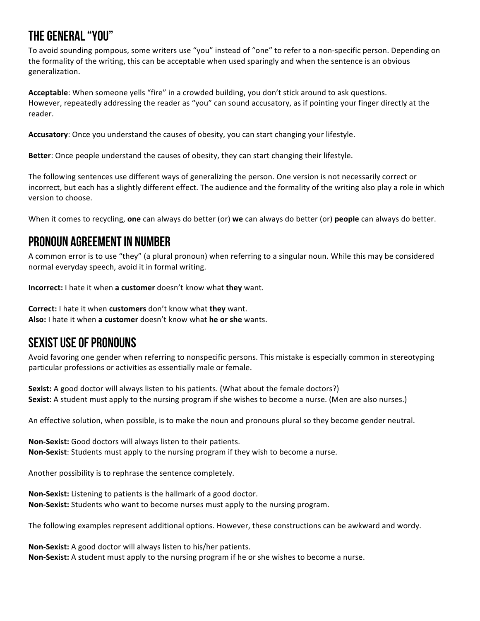# The General "You"

To avoid sounding pompous, some writers use "you" instead of "one" to refer to a non-specific person. Depending on the formality of the writing, this can be acceptable when used sparingly and when the sentence is an obvious generalization.

Acceptable: When someone yells "fire" in a crowded building, you don't stick around to ask questions. However, repeatedly addressing the reader as "you" can sound accusatory, as if pointing your finger directly at the reader. 

Accusatory: Once you understand the causes of obesity, you can start changing your lifestyle.

**Better**: Once people understand the causes of obesity, they can start changing their lifestyle.

The following sentences use different ways of generalizing the person. One version is not necessarily correct or incorrect, but each has a slightly different effect. The audience and the formality of the writing also play a role in which version to choose.

When it comes to recycling, **one** can always do better (or) we can always do better (or) **people** can always do better.

## Pronoun Agreementin Number

A common error is to use "they" (a plural pronoun) when referring to a singular noun. While this may be considered normal everyday speech, avoid it in formal writing.

**Incorrect:** I hate it when **a customer** doesn't know what **they** want.

**Correct:** I hate it when **customers** don't know what **they** want. Also: I hate it when a customer doesn't know what he or she wants.

## Sexist Use of Pronouns

Avoid favoring one gender when referring to nonspecific persons. This mistake is especially common in stereotyping particular professions or activities as essentially male or female.

**Sexist:** A good doctor will always listen to his patients. (What about the female doctors?) **Sexist**: A student must apply to the nursing program if she wishes to become a nurse. (Men are also nurses.)

An effective solution, when possible, is to make the noun and pronouns plural so they become gender neutral.

**Non-Sexist:** Good doctors will always listen to their patients. **Non-Sexist:** Students must apply to the nursing program if they wish to become a nurse.

Another possibility is to rephrase the sentence completely.

**Non-Sexist:** Listening to patients is the hallmark of a good doctor. **Non-Sexist:** Students who want to become nurses must apply to the nursing program.

The following examples represent additional options. However, these constructions can be awkward and wordy.

**Non-Sexist:** A good doctor will always listen to his/her patients. **Non-Sexist:** A student must apply to the nursing program if he or she wishes to become a nurse.